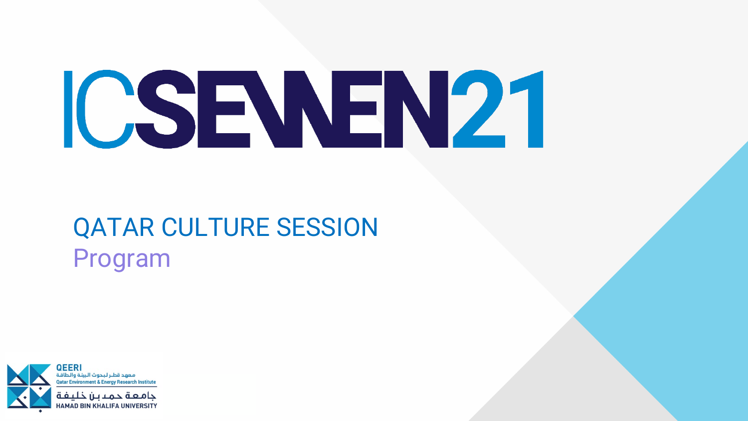



# QATAR CULTURE SESSION Program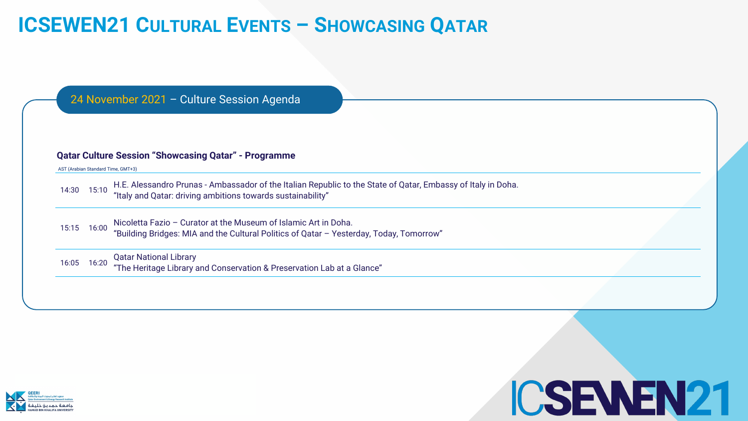



Inbassy of Italy in Doha.



## **ICSEWEN21 CULTURAL EVENTS – SHOWCASING QATAR**

| <b>Qatar Culture Session "Showcasing Qatar" - Programme</b> |       |                                                                                                                                                        |
|-------------------------------------------------------------|-------|--------------------------------------------------------------------------------------------------------------------------------------------------------|
|                                                             |       | AST (Arabian Standard Time, GMT+3)                                                                                                                     |
| 14:30                                                       | 15:10 | H.E. Alessandro Prunas - Ambassador of the Italian Republic to the State of Qatar, Emba<br>"Italy and Qatar: driving ambitions towards sustainability" |
| 15:15                                                       | 16:00 | Nicoletta Fazio - Curator at the Museum of Islamic Art in Doha.                                                                                        |
|                                                             |       | "Building Bridges: MIA and the Cultural Politics of Qatar - Yesterday, Today, Tomorrow"                                                                |
| 16:05                                                       | 16:20 | <b>Qatar National Library</b>                                                                                                                          |
|                                                             |       | "The Heritage Library and Conservation & Preservation Lab at a Glance"                                                                                 |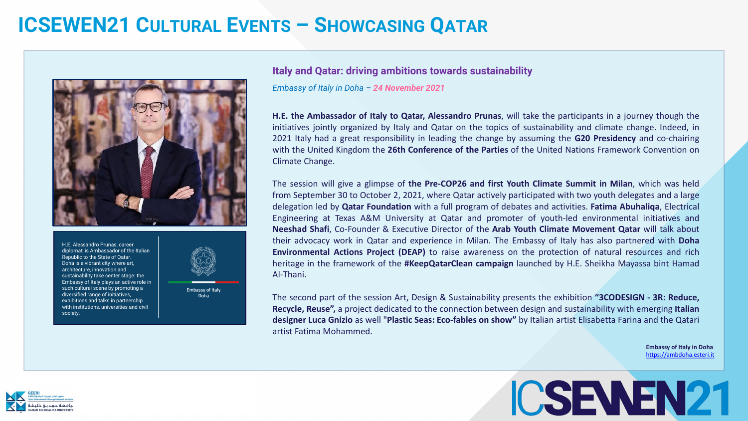



### **ICSEWEN21 CULTURAL EVENTS – SHOWCASING QATAR**



### **Italy and Qatar: driving ambitions towards sustainability**

*Embassy of Italy in Doha – 24 November 2021*

**H.E. the Ambassador of Italy to Qatar, Alessandro Prunas**, will take the participants in a journey though the initiatives jointly organized by Italy and Qatar on the topics of sustainability and climate change. Indeed, in 2021 Italy had a great responsibility in leading the change by assuming the **G20 Presidency** and co-chairing with the United Kingdom the **26th Conference of the Parties** of the United Nations Framework Convention on Climate Change.

The session will give a glimpse of **the Pre-COP26 and first Youth Climate Summit in Milan**, which was held from September 30 to October 2, 2021, where Qatar actively participated with two youth delegates and a large delegation led by **Qatar Foundation** with a full program of debates and activities. **Fatima Abuhaliqa**, Electrical Engineering at Texas A&M University at Qatar and promoter of youth-led environmental initiatives and **Neeshad Shafi**, Co-Founder & Executive Director of the **Arab Youth Climate Movement Qatar** will talk about their advocacy work in Qatar and experience in Milan. The Embassy of Italy has also partnered with **Doha Environmental Actions Project (DEAP)** to raise awareness on the protection of natural resources and rich heritage in the framework of the **#KeepQatarClean campaign** launched by H.E. Sheikha Mayassa bint Hamad Al-Thani.

The second part of the session Art, Design & Sustainability presents the exhibition **"3CODESIGN - 3R: Reduce, Recycle, Reuse",** a project dedicated to the connection between design and sustainability with emerging **Italian designer Luca Gnizio** as well "**Plastic Seas: Eco-fables on show"** by Italian artist Elisabetta Farina and the Qatari artist Fatima Mohammed.

> **Embassy of Italy in Doha**  [https://ambdoha.esteri.it](https://ambdoha.esteri.it/)



H.E. Alessandro Prunas, career diplomat, is Ambassador of the Italian Republic to the State of Qatar. Doha is a vibrant city where art, architecture, innovation and sustainability take center stage: the Embassy of Italy plays an active role in such cultural scene by promoting a diversified range of initiatives, exhibitions and talks in partnership with institutions, universities and civil society.



**Embassy of Italy** Doha